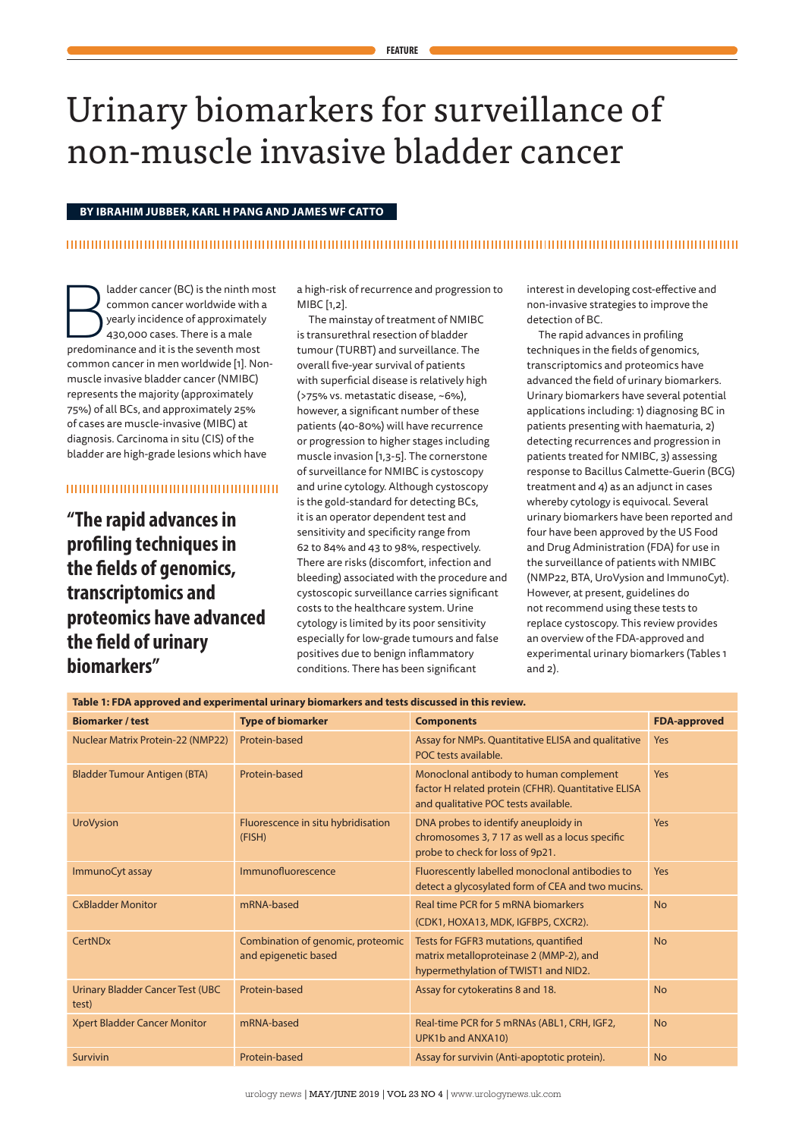# Urinary biomarkers for surveillance of non-muscle invasive bladder cancer

## **BY IBRAHIM JUBBER, KARL H PANG AND JAMES WF CATTO**

## 

and the ninth most<br>
common cancer worldwide with a<br>
yearly incidence of approximately<br>
430,000 cases. There is a male<br>
predominance and it is the seventh most common cancer worldwide with a yearly incidence of approximately 430,000 cases. There is a male common cancer in men worldwide [1]. Nonmuscle invasive bladder cancer (NMIBC) represents the majority (approximately 75%) of all BCs, and approximately 25% of cases are muscle-invasive (MIBC) at diagnosis. Carcinoma in situ (CIS) of the bladder are high-grade lesions which have

## 

**"The rapid advances in profiling techniques in the fields of genomics, transcriptomics and proteomics have advanced the field of urinary biomarkers"**

a high-risk of recurrence and progression to MIBC [1,2].

The mainstay of treatment of NMIBC is transurethral resection of bladder tumour (TURBT) and surveillance. The overall five-year survival of patients with superficial disease is relatively high (>75% vs. metastatic disease, ~6%), however, a significant number of these patients (40-80%) will have recurrence or progression to higher stages including muscle invasion [1,3-5]. The cornerstone of surveillance for NMIBC is cystoscopy and urine cytology. Although cystoscopy is the gold-standard for detecting BCs, it is an operator dependent test and sensitivity and specificity range from 62 to 84% and 43 to 98%, respectively. There are risks (discomfort, infection and bleeding) associated with the procedure and cystoscopic surveillance carries significant costs to the healthcare system. Urine cytology is limited by its poor sensitivity especially for low-grade tumours and false positives due to benign inflammatory conditions. There has been significant

interest in developing cost-effective and non-invasive strategies to improve the detection of BC.

The rapid advances in profiling techniques in the fields of genomics, transcriptomics and proteomics have advanced the field of urinary biomarkers. Urinary biomarkers have several potential applications including: 1) diagnosing BC in patients presenting with haematuria, 2) detecting recurrences and progression in patients treated for NMIBC, 3) assessing response to Bacillus Calmette-Guerin (BCG) treatment and 4) as an adjunct in cases whereby cytology is equivocal. Several urinary biomarkers have been reported and four have been approved by the US Food and Drug Administration (FDA) for use in the surveillance of patients with NMIBC (NMP22, BTA, UroVysion and ImmunoCyt). However, at present, guidelines do not recommend using these tests to replace cystoscopy. This review provides an overview of the FDA-approved and experimental urinary biomarkers (Tables 1 and 2).

| Table 1: FDA approved and experimental urinary biomarkers and tests discussed in this review. |                                                           |                                                                                                                                        |                     |  |  |  |
|-----------------------------------------------------------------------------------------------|-----------------------------------------------------------|----------------------------------------------------------------------------------------------------------------------------------------|---------------------|--|--|--|
| <b>Biomarker / test</b>                                                                       | <b>Type of biomarker</b>                                  | <b>Components</b>                                                                                                                      | <b>FDA-approved</b> |  |  |  |
| Nuclear Matrix Protein-22 (NMP22)                                                             | Protein-based                                             | Assay for NMPs. Quantitative ELISA and qualitative<br>POC tests available.                                                             | Yes                 |  |  |  |
| <b>Bladder Tumour Antigen (BTA)</b>                                                           | Protein-based                                             | Monoclonal antibody to human complement<br>factor H related protein (CFHR). Quantitative ELISA<br>and qualitative POC tests available. | Yes                 |  |  |  |
| <b>UroVysion</b>                                                                              | Fluorescence in situ hybridisation<br>(FISH)              | DNA probes to identify aneuploidy in<br>chromosomes 3, 7 17 as well as a locus specific<br>probe to check for loss of 9p21.            | Yes                 |  |  |  |
| ImmunoCyt assay                                                                               | Immunofluorescence                                        | Fluorescently labelled monoclonal antibodies to<br>detect a glycosylated form of CEA and two mucins.                                   | <b>Yes</b>          |  |  |  |
| <b>CxBladder Monitor</b>                                                                      | mRNA-based                                                | Real time PCR for 5 mRNA biomarkers<br>(CDK1, HOXA13, MDK, IGFBP5, CXCR2).                                                             | <b>No</b>           |  |  |  |
| CertNDx                                                                                       | Combination of genomic, proteomic<br>and epigenetic based | Tests for FGFR3 mutations, quantified<br>matrix metalloproteinase 2 (MMP-2), and<br>hypermethylation of TWIST1 and NID2.               | <b>No</b>           |  |  |  |
| <b>Urinary Bladder Cancer Test (UBC</b><br>test)                                              | Protein-based                                             | Assay for cytokeratins 8 and 18.                                                                                                       | <b>No</b>           |  |  |  |
| Xpert Bladder Cancer Monitor                                                                  | mRNA-based                                                | Real-time PCR for 5 mRNAs (ABL1, CRH, IGF2,<br>UPK1b and ANXA10)                                                                       | <b>No</b>           |  |  |  |
| Survivin                                                                                      | Protein-based                                             | Assay for survivin (Anti-apoptotic protein).                                                                                           | <b>No</b>           |  |  |  |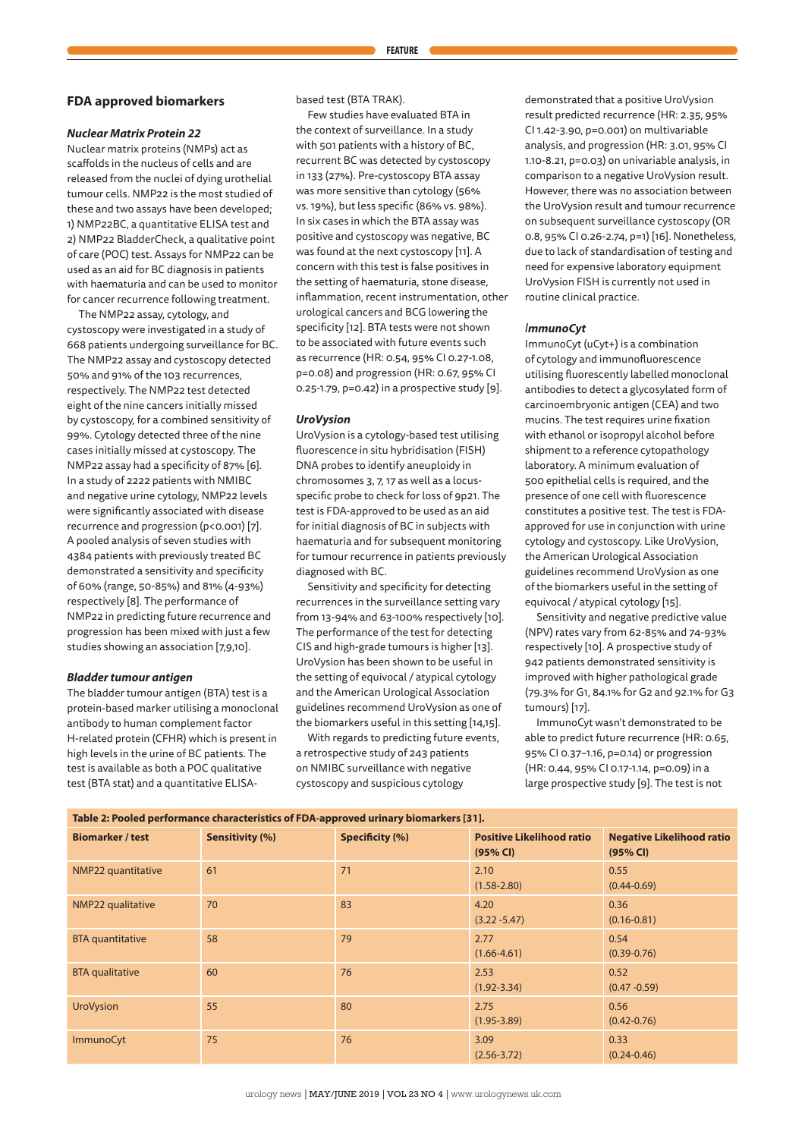## **FDA approved biomarkers**

## *Nuclear Matrix Protein 22*

Nuclear matrix proteins (NMPs) act as scaffolds in the nucleus of cells and are released from the nuclei of dying urothelial tumour cells. NMP22 is the most studied of these and two assays have been developed; 1) NMP22BC, a quantitative ELISA test and 2) NMP22 BladderCheck, a qualitative point of care (POC) test. Assays for NMP22 can be used as an aid for BC diagnosis in patients with haematuria and can be used to monitor for cancer recurrence following treatment.

The NMP22 assay, cytology, and cystoscopy were investigated in a study of 668 patients undergoing surveillance for BC. The NMP22 assay and cystoscopy detected 50% and 91% of the 103 recurrences, respectively. The NMP22 test detected eight of the nine cancers initially missed by cystoscopy, for a combined sensitivity of 99%. Cytology detected three of the nine cases initially missed at cystoscopy. The NMP22 assay had a specificity of 87% [6]. In a study of 2222 patients with NMIBC and negative urine cytology, NMP22 levels were significantly associated with disease recurrence and progression (p<0.001) [7]. A pooled analysis of seven studies with 4384 patients with previously treated BC demonstrated a sensitivity and specificity of 60% (range, 50-85%) and 81% (4-93%) respectively [8]. The performance of NMP22 in predicting future recurrence and progression has been mixed with just a few studies showing an association [7,9,10].

## *Bladder tumour antigen*

The bladder tumour antigen (BTA) test is a protein-based marker utilising a monoclonal antibody to human complement factor H-related protein (CFHR) which is present in high levels in the urine of BC patients. The test is available as both a POC qualitative test (BTA stat) and a quantitative ELISA-

based test (BTA TRAK).

Few studies have evaluated BTA in the context of surveillance. In a study with 501 patients with a history of BC, recurrent BC was detected by cystoscopy in 133 (27%). Pre-cystoscopy BTA assay was more sensitive than cytology (56% vs. 19%), but less specific (86% vs. 98%). In six cases in which the BTA assay was positive and cystoscopy was negative, BC was found at the next cystoscopy [11]. A concern with this test is false positives in the setting of haematuria, stone disease, inflammation, recent instrumentation, other urological cancers and BCG lowering the specificity [12]. BTA tests were not shown to be associated with future events such as recurrence (HR: 0.54, 95% CI 0.27-1.08, p=0.08) and progression (HR: 0.67, 95% CI 0.25-1.79, p=0.42) in a prospective study [9].

## *UroVysion*

UroVysion is a cytology-based test utilising fluorescence in situ hybridisation (FISH) DNA probes to identify aneuploidy in chromosomes 3, 7, 17 as well as a locusspecific probe to check for loss of 9p21. The test is FDA-approved to be used as an aid for initial diagnosis of BC in subjects with haematuria and for subsequent monitoring for tumour recurrence in patients previously diagnosed with BC.

Sensitivity and specificity for detecting recurrences in the surveillance setting vary from 13-94% and 63-100% respectively [10]. The performance of the test for detecting CIS and high-grade tumours is higher [13]. UroVysion has been shown to be useful in the setting of equivocal / atypical cytology and the American Urological Association guidelines recommend UroVysion as one of the biomarkers useful in this setting [14,15].

With regards to predicting future events, a retrospective study of 243 patients on NMIBC surveillance with negative cystoscopy and suspicious cytology

demonstrated that a positive UroVysion result predicted recurrence (HR: 2.35, 95% CI 1.42-3.90, p=0.001) on multivariable analysis, and progression (HR: 3.01, 95% CI 1.10-8.21, p=0.03) on univariable analysis, in comparison to a negative UroVysion result. However, there was no association between the UroVysion result and tumour recurrence on subsequent surveillance cystoscopy (OR 0.8, 95% CI 0.26-2.74, p=1) [16]. Nonetheless, due to lack of standardisation of testing and need for expensive laboratory equipment UroVysion FISH is currently not used in routine clinical practice.

## *ImmunoCyt*

ImmunoCyt (uCyt+) is a combination of cytology and immunofluorescence utilising fluorescently labelled monoclonal antibodies to detect a glycosylated form of carcinoembryonic antigen (CEA) and two mucins. The test requires urine fixation with ethanol or isopropyl alcohol before shipment to a reference cytopathology laboratory. A minimum evaluation of 500 epithelial cells is required, and the presence of one cell with fluorescence constitutes a positive test. The test is FDAapproved for use in conjunction with urine cytology and cystoscopy. Like UroVysion, the American Urological Association guidelines recommend UroVysion as one of the biomarkers useful in the setting of equivocal / atypical cytology [15].

Sensitivity and negative predictive value (NPV) rates vary from 62-85% and 74-93% respectively [10]. A prospective study of 942 patients demonstrated sensitivity is improved with higher pathological grade (79.3% for G1, 84.1% for G2 and 92.1% for G3 tumours) [17].

ImmunoCyt wasn't demonstrated to be able to predict future recurrence (HR: 0.65, 95% CI 0.37–1.16, p=0.14) or progression (HR: 0.44, 95% CI 0.17-1.14, p=0.09) in a large prospective study [9]. The test is not

**Table 2: Pooled performance characteristics of FDA-approved urinary biomarkers [31].**

| <b>Biomarker / test</b> | Sensitivity (%) | Specificity (%) | <b>Positive Likelihood ratio</b><br>(95% CI) | <b>Negative Likelihood ratio</b><br>(95% CI) |
|-------------------------|-----------------|-----------------|----------------------------------------------|----------------------------------------------|
| NMP22 quantitative      | 61              | 71              | 2.10<br>$(1.58 - 2.80)$                      | 0.55<br>$(0.44 - 0.69)$                      |
| NMP22 qualitative       | 70              | 83              | 4.20<br>$(3.22 - 5.47)$                      | 0.36<br>$(0.16 - 0.81)$                      |
| <b>BTA</b> quantitative | 58              | 79              | 2.77<br>$(1.66 - 4.61)$                      | 0.54<br>$(0.39 - 0.76)$                      |
| <b>BTA</b> qualitative  | 60              | 76              | 2.53<br>$(1.92 - 3.34)$                      | 0.52<br>$(0.47 - 0.59)$                      |
| <b>UroVysion</b>        | 55              | 80              | 2.75<br>$(1.95 - 3.89)$                      | 0.56<br>$(0.42 - 0.76)$                      |
| <b>ImmunoCyt</b>        | 75              | 76              | 3.09<br>$(2.56 - 3.72)$                      | 0.33<br>$(0.24 - 0.46)$                      |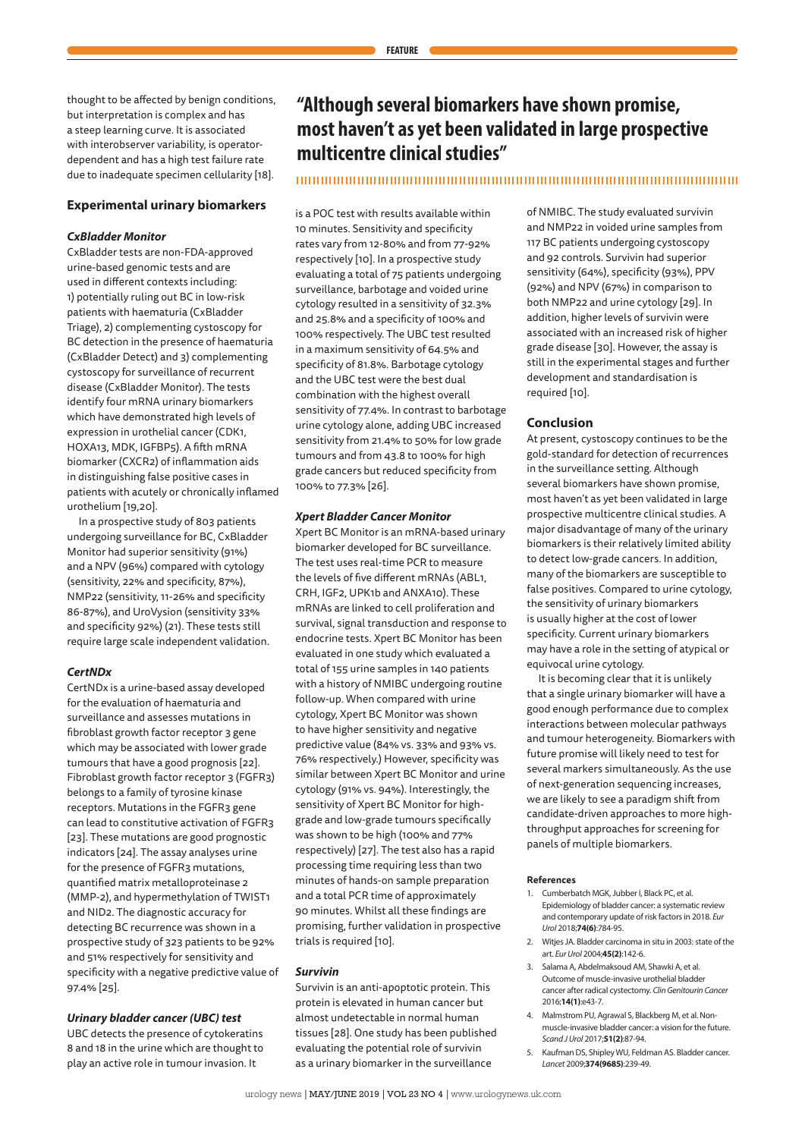thought to be affected by benign conditions, but interpretation is complex and has a steep learning curve. It is associated with interobserver variability, is operatordependent and has a high test failure rate due to inadequate specimen cellularity [18].

## **Experimental urinary biomarkers**

#### *CxBladder Monitor*

CxBladder tests are non-FDA-approved urine-based genomic tests and are used in different contexts including: 1) potentially ruling out BC in low-risk patients with haematuria (CxBladder Triage), 2) complementing cystoscopy for BC detection in the presence of haematuria (CxBladder Detect) and 3) complementing cystoscopy for surveillance of recurrent disease (CxBladder Monitor). The tests identify four mRNA urinary biomarkers which have demonstrated high levels of expression in urothelial cancer (CDK1, HOXA13, MDK, IGFBP5). A fifth mRNA biomarker (CXCR2) of inflammation aids in distinguishing false positive cases in patients with acutely or chronically inflamed urothelium [19,20].

In a prospective study of 803 patients undergoing surveillance for BC, CxBladder Monitor had superior sensitivity (91%) and a NPV (96%) compared with cytology (sensitivity, 22% and specificity, 87%), NMP22 (sensitivity, 11-26% and specificity 86-87%), and UroVysion (sensitivity 33% and specificity 92%) (21). These tests still require large scale independent validation.

## *CertNDx*

CertNDx is a urine-based assay developed for the evaluation of haematuria and surveillance and assesses mutations in fibroblast growth factor receptor 3 gene which may be associated with lower grade tumours that have a good prognosis [22]. Fibroblast growth factor receptor 3 (FGFR3) belongs to a family of tyrosine kinase receptors. Mutations in the FGFR3 gene can lead to constitutive activation of FGFR3 [23]. These mutations are good prognostic indicators [24]. The assay analyses urine for the presence of FGFR3 mutations, quantified matrix metalloproteinase 2 (MMP-2), and hypermethylation of TWIST1 and NID2. The diagnostic accuracy for detecting BC recurrence was shown in a prospective study of 323 patients to be 92% and 51% respectively for sensitivity and specificity with a negative predictive value of 97.4% [25].

#### *Urinary bladder cancer (UBC) test*

UBC detects the presence of cytokeratins 8 and 18 in the urine which are thought to play an active role in tumour invasion. It

## **"Although several biomarkers have shown promise, most haven't as yet been validated in large prospective multicentre clinical studies"**

## 

is a POC test with results available within 10 minutes. Sensitivity and specificity rates vary from 12-80% and from 77-92% respectively [10]. In a prospective study evaluating a total of 75 patients undergoing surveillance, barbotage and voided urine cytology resulted in a sensitivity of 32.3% and 25.8% and a specificity of 100% and 100% respectively. The UBC test resulted in a maximum sensitivity of 64.5% and specificity of 81.8%. Barbotage cytology and the UBC test were the best dual combination with the highest overall sensitivity of 77.4%. In contrast to barbotage urine cytology alone, adding UBC increased sensitivity from 21.4% to 50% for low grade tumours and from 43.8 to 100% for high grade cancers but reduced specificity from 100% to 77.3% [26].

## *Xpert Bladder Cancer Monitor*

Xpert BC Monitor is an mRNA-based urinary biomarker developed for BC surveillance. The test uses real-time PCR to measure the levels of five different mRNAs (ABL1, CRH, IGF2, UPK1b and ANXA10). These mRNAs are linked to cell proliferation and survival, signal transduction and response to endocrine tests. Xpert BC Monitor has been evaluated in one study which evaluated a total of 155 urine samples in 140 patients with a history of NMIBC undergoing routine follow-up. When compared with urine cytology, Xpert BC Monitor was shown to have higher sensitivity and negative predictive value (84% vs. 33% and 93% vs. 76% respectively.) However, specificity was similar between Xpert BC Monitor and urine cytology (91% vs. 94%). Interestingly, the sensitivity of Xpert BC Monitor for highgrade and low-grade tumours specifically was shown to be high (100% and 77% respectively) [27]. The test also has a rapid processing time requiring less than two minutes of hands-on sample preparation and a total PCR time of approximately 90 minutes. Whilst all these findings are promising, further validation in prospective trials is required [10].

## *Survivin*

Survivin is an anti-apoptotic protein. This protein is elevated in human cancer but almost undetectable in normal human tissues [28]. One study has been published evaluating the potential role of survivin as a urinary biomarker in the surveillance

of NMIBC. The study evaluated survivin and NMP22 in voided urine samples from 117 BC patients undergoing cystoscopy and 92 controls. Survivin had superior sensitivity (64%), specificity (93%), PPV (92%) and NPV (67%) in comparison to both NMP22 and urine cytology [29]. In addition, higher levels of survivin were associated with an increased risk of higher grade disease [30]. However, the assay is still in the experimental stages and further development and standardisation is required [10].

#### **Conclusion**

At present, cystoscopy continues to be the gold-standard for detection of recurrences in the surveillance setting. Although several biomarkers have shown promise, most haven't as yet been validated in large prospective multicentre clinical studies. A major disadvantage of many of the urinary biomarkers is their relatively limited ability to detect low-grade cancers. In addition, many of the biomarkers are susceptible to false positives. Compared to urine cytology, the sensitivity of urinary biomarkers is usually higher at the cost of lower specificity. Current urinary biomarkers may have a role in the setting of atypical or equivocal urine cytology.

It is becoming clear that it is unlikely that a single urinary biomarker will have a good enough performance due to complex interactions between molecular pathways and tumour heterogeneity. Biomarkers with future promise will likely need to test for several markers simultaneously. As the use of next-generation sequencing increases, we are likely to see a paradigm shift from candidate-driven approaches to more highthroughput approaches for screening for panels of multiple biomarkers.

#### **References**

- 1. Cumberbatch MGK, Jubber I, Black PC, et al. Epidemiology of bladder cancer: a systematic review and contemporary update of risk factors in 2018. *Eur Urol* 2018;**74(6)**:784-95.
- 2. Wities JA. Bladder carcinoma in situ in 2003: state of the art. *Eur Urol* 2004;**45(2)**:142-6.
- 3. Salama A, Abdelmaksoud AM, Shawki A, et al. Outcome of muscle-invasive urothelial bladder cancer after radical cystectomy. *Clin Genitourin Cancer* 2016;**14(1)**:e43-7.
- 4. Malmstrom PU, Agrawal S, Blackberg M, et al. Nonmuscle-invasive bladder cancer: a vision for the future. *Scand J Urol* 2017;**51(2)**:87-94.
- 5. Kaufman DS, Shipley WU, Feldman AS. Bladder cancer. *Lancet* 2009;**374(9685)**:239-49.